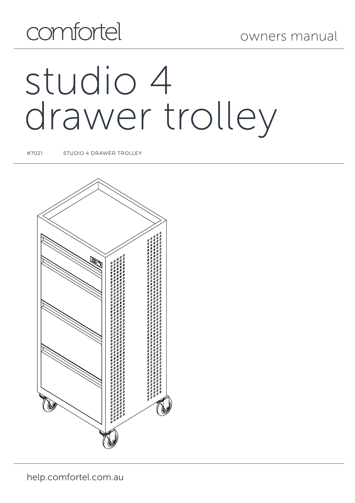## comfortel

owners manual

# studio 4 drawer trolley

#7021 STUDIO 4 DRAWER TROLLEY